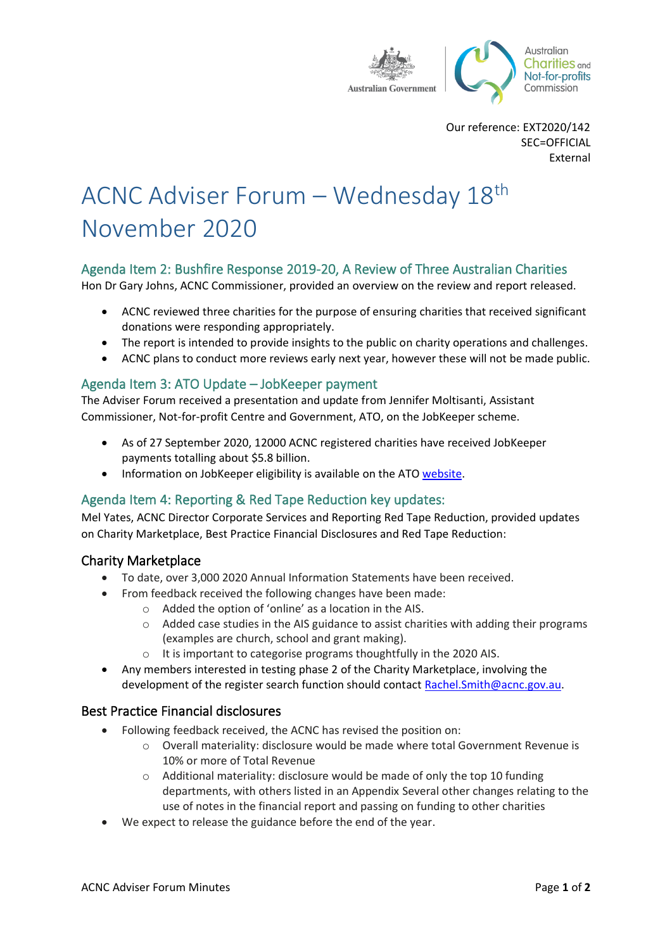

Our reference: EXT2020/142 SEC=OFFICIAL External

# ACNC Adviser Forum – Wednesday 18th November 2020

# Agenda Item 2: Bushfire Response 2019-20, A Review of Three Australian Charities

Hon Dr Gary Johns, ACNC Commissioner, provided an overview on the review and report released.

- ACNC reviewed three charities for the purpose of ensuring charities that received significant donations were responding appropriately.
- The report is intended to provide insights to the public on charity operations and challenges.
- ACNC plans to conduct more reviews early next year, however these will not be made public.

# Agenda Item 3: ATO Update – JobKeeper payment

The Adviser Forum received a presentation and update from Jennifer Moltisanti, Assistant Commissioner, Not-for-profit Centre and Government, ATO, on the JobKeeper scheme.

- As of 27 September 2020, 12000 ACNC registered charities have received JobKeeper payments totalling about \$5.8 billion.
- Information on JobKeeper eligibility is available on the ATO [website.](http://www.ato.gov.au/General/JobKeeper-Payment/)

# Agenda Item 4: Reporting & Red Tape Reduction key updates:

Mel Yates, ACNC Director Corporate Services and Reporting Red Tape Reduction, provided updates on Charity Marketplace, Best Practice Financial Disclosures and Red Tape Reduction:

## Charity Marketplace

- To date, over 3,000 2020 Annual Information Statements have been received.
	- From feedback received the following changes have been made:
		- o Added the option of 'online' as a location in the AIS.
		- $\circ$  Added case studies in the AIS guidance to assist charities with adding their programs (examples are church, school and grant making).
		- o It is important to categorise programs thoughtfully in the 2020 AIS.
- Any members interested in testing phase 2 of the Charity Marketplace, involving the development of the register search function should contact [Rachel.Smith@acnc.gov.au.](mailto:Rachel.Smith@acnc.gov.au)

## Best Practice Financial disclosures

- Following feedback received, the ACNC has revised the position on:
	- o Overall materiality: disclosure would be made where total Government Revenue is 10% or more of Total Revenue
	- o Additional materiality: disclosure would be made of only the top 10 funding departments, with others listed in an Appendix Several other changes relating to the use of notes in the financial report and passing on funding to other charities
- We expect to release the guidance before the end of the year.